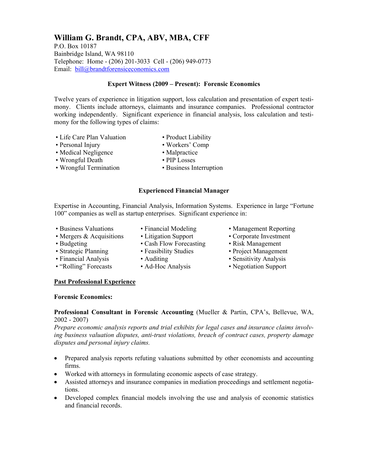#### **William G. Brandt, CPA, ABV, MBA, CFF**

P.O. Box 10187 Bainbridge Island, WA 98110 Telephone: Home - (206) 201-3033 Cell - (206) 949-0773 Email: bill@brandtforensiceconomics.com

#### **Expert Witness (2009 – Present): Forensic Economics**

Twelve years of experience in litigation support, loss calculation and presentation of expert testimony. Clients include attorneys, claimants and insurance companies. Professional contractor working independently. Significant experience in financial analysis, loss calculation and testimony for the following types of claims:

- Life Care Plan Valuation Product Liability
- Personal Injury Workers' Comp
- 
- Medical Negligence Malpractice
- Wrongful Death PIP Losses
- Wrongful Termination Business Interruption
- -

#### **Experienced Financial Manager**

Expertise in Accounting, Financial Analysis, Information Systems. Experience in large "Fortune 100" companies as well as startup enterprises. Significant experience in:

- 
- - -
- -
- Business Valuations Financial Modeling Management Reporting
- Mergers & Acquisitions Litigation Support Corporate Investment
- Budgeting Cash Flow Forecasting Risk Management
- Strategic Planning Feasibility Studies Project Management
- Financial Analysis Auditing Sensitivity Analysis
	-

#### **Past Professional Experience**

#### **Forensic Economics:**

#### **Professional Consultant in Forensic Accounting** (Mueller & Partin, CPA's, Bellevue, WA, 2002 - 2007)

*Prepare economic analysis reports and trial exhibits for legal cases and insurance claims involving business valuation disputes, anti-trust violations, breach of contract cases, property damage disputes and personal injury claims.* 

- Prepared analysis reports refuting valuations submitted by other economists and accounting firms.
- Worked with attorneys in formulating economic aspects of case strategy.
- Assisted attorneys and insurance companies in mediation proceedings and settlement negotiations.
- Developed complex financial models involving the use and analysis of economic statistics and financial records.

• "Rolling" Forecasts • Ad-Hoc Analysis • Negotiation Support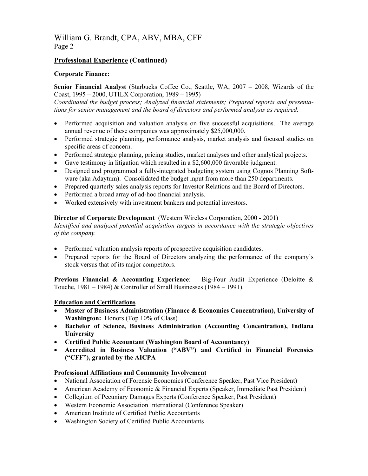#### William G. Brandt, CPA, ABV, MBA, CFF Page 2

#### **Professional Experience (Continued)**

#### **Corporate Finance:**

**Senior Financial Analyst** (Starbucks Coffee Co., Seattle, WA, 2007 – 2008, Wizards of the Coast, 1995 – 2000, UTILX Corporation, 1989 – 1995)

*Coordinated the budget process; Analyzed financial statements; Prepared reports and presentations for senior management and the board of directors and performed analysis as required.* 

- Performed acquisition and valuation analysis on five successful acquisitions. The average annual revenue of these companies was approximately \$25,000,000.
- Performed strategic planning, performance analysis, market analysis and focused studies on specific areas of concern.
- Performed strategic planning, pricing studies, market analyses and other analytical projects.
- Gave testimony in litigation which resulted in a \$2,600,000 favorable judgment.
- Designed and programmed a fully-integrated budgeting system using Cognos Planning Software (aka Adaytum). Consolidated the budget input from more than 250 departments.
- Prepared quarterly sales analysis reports for Investor Relations and the Board of Directors.
- Performed a broad array of ad-hoc financial analysis.
- Worked extensively with investment bankers and potential investors.

#### **Director of Corporate Development** (Western Wireless Corporation, 2000 - 2001)

*Identified and analyzed potential acquisition targets in accordance with the strategic objectives of the company.* 

- Performed valuation analysis reports of prospective acquisition candidates.
- Prepared reports for the Board of Directors analyzing the performance of the company's stock versus that of its major competitors.

**Previous Financial & Accounting Experience**: Big-Four Audit Experience (Deloitte & Touche,  $1981 - 1984$ ) & Controller of Small Businesses (1984 – 1991).

#### **Education and Certifications**

- **Master of Business Administration (Finance & Economics Concentration), University of Washington:** Honors (Top 10% of Class)
- **Bachelor of Science, Business Administration (Accounting Concentration), Indiana University**
- **Certified Public Accountant (Washington Board of Accountancy)**
- **Accredited in Business Valuation ("ABV") and Certified in Financial Forensics ("CFF"), granted by the AICPA**

#### **Professional Affiliations and Community Involvement**

- National Association of Forensic Economics (Conference Speaker, Past Vice President)
- American Academy of Economic & Financial Experts (Speaker, Immediate Past President)
- Collegium of Pecuniary Damages Experts (Conference Speaker, Past President)
- Western Economic Association International (Conference Speaker)
- American Institute of Certified Public Accountants
- Washington Society of Certified Public Accountants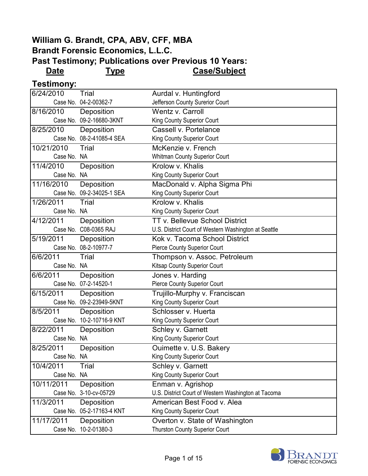#### **William G. Brandt, CPA, ABV, CFF, MBA Brandt Forensic Economics, L.L.C. Past Testimony; Publications over Previous 10 Years:**

**Date Type Case/Subject**

**Testimony:**

| 6/24/2010   | Trial                     | Aurdal v. Huntingford                                |
|-------------|---------------------------|------------------------------------------------------|
|             | Case No. 04-2-00362-7     | Jefferson County Surerior Court                      |
| 8/16/2010   | Deposition                | Wentz v. Carroll                                     |
|             | Case No. 09-2-16680-3KNT  | King County Superior Court                           |
| 8/25/2010   | Deposition                | Cassell v. Portelance                                |
|             | Case No. 08-2-41085-4 SEA | King County Superior Court                           |
| 10/21/2010  | <b>Trial</b>              | McKenzie v. French                                   |
| Case No. NA |                           | <b>Whitman County Superior Court</b>                 |
| 11/4/2010   | Deposition                | Krolow v. Khalis                                     |
| Case No. NA |                           | King County Superior Court                           |
| 11/16/2010  | Deposition                | MacDonald v. Alpha Sigma Phi                         |
|             | Case No. 09-2-34025-1 SEA | King County Superior Court                           |
| 1/26/2011   | Trial                     | Krolow v. Khalis                                     |
| Case No. NA |                           | King County Superior Court                           |
| 4/12/2011   | Deposition                | <b>TT v. Bellevue School District</b>                |
|             | Case No. C08-0365 RAJ     | U.S. District Court of Western Washington at Seattle |
| 5/19/2011   | Deposition                | Kok v. Tacoma School District                        |
|             | Case No. 08-2-10977-7     | Pierce County Superior Court                         |
| 6/6/2011    | Trial                     | Thompson v. Assoc. Petroleum                         |
| Case No. NA |                           | Kitsap County Superior Court                         |
| 6/6/2011    | Deposition                | Jones v. Harding                                     |
|             | Case No. 07-2-14520-1     | Pierce County Superior Court                         |
| 6/15/2011   | Deposition                | Trujillo-Murphy v. Franciscan                        |
|             | Case No. 09-2-23949-5KNT  | King County Superior Court                           |
| 8/5/2011    | Deposition                | Schlosser v. Huerta                                  |
|             | Case No. 10-2-10716-9 KNT | King County Superior Court                           |
| 8/22/2011   | Deposition                | Schley v. Garnett                                    |
| Case No. NA |                           | King County Superior Court                           |
| 8/25/2011   | Deposition                | Ouimette v. U.S. Bakery                              |
| Case No. NA |                           | King County Superior Court                           |
| 10/4/2011   | Trial                     | Schley v. Garnett                                    |
| Case No. NA |                           | King County Superior Court                           |
| 10/11/2011  | Deposition                | Enman v. Agrishop                                    |
|             | Case No. 3-10-cv-05729    | U.S. District Court of Western Washington at Tacoma  |
| 11/3/2011   | Deposition                | American Best Food v. Alea                           |
|             | Case No. 05-2-17163-4 KNT | King County Superior Court                           |
| 11/17/2011  | Deposition                | Overton v. State of Washington                       |
|             | Case No. 10-2-01380-3     | <b>Thurston County Superior Court</b>                |

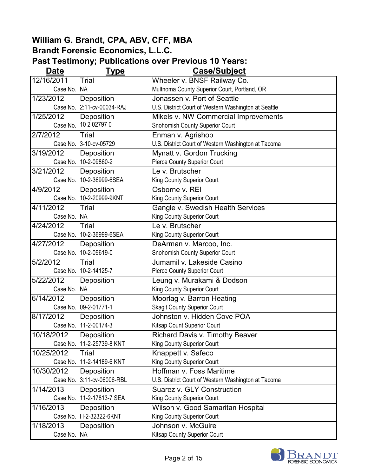| Date        | <b>Type</b>                | <b>Case/Subject</b>                                  |
|-------------|----------------------------|------------------------------------------------------|
| 12/16/2011  | Trial                      | Wheeler v. BNSF Railway Co.                          |
| Case No. NA |                            | Multnoma County Superior Court, Portland, OR         |
| 1/23/2012   | Deposition                 | Jonassen v. Port of Seattle                          |
|             | Case No. 2:11-cv-00034-RAJ | U.S. District Court of Western Washington at Seattle |
| 1/25/2012   | Deposition                 | Mikels v. NW Commercial Improvements                 |
| Case No.    | 10 2 02797 0               | Snohomish County Superior Court                      |
| 2/7/2012    | Trial                      | Enman v. Agrishop                                    |
|             | Case No. 3-10-cv-05729     | U.S. District Court of Western Washington at Tacoma  |
| 3/19/2012   | Deposition                 | Mynatt v. Gordon Trucking                            |
|             | Case No. 10-2-09860-2      | <b>Pierce County Superior Court</b>                  |
| 3/21/2012   | Deposition                 | Le v. Brutscher                                      |
|             | Case No. 10-2-36999-6SEA   | King County Superior Court                           |
| 4/9/2012    | Deposition                 | Osborne v. REI                                       |
|             | Case No. 10-2-20999-9KNT   | King County Superior Court                           |
| 4/11/2012   | Trial                      | Gangle v. Swedish Health Services                    |
| Case No. NA |                            | King County Superior Court                           |
| 4/24/2012   | Trial                      | Le v. Brutscher                                      |
|             | Case No. 10-2-36999-6SEA   | King County Superior Court                           |
| 4/27/2012   | Deposition                 | DeArman v. Marcoo, Inc.                              |
|             | Case No. 10-2-09619-0      | Snohomish County Superior Court                      |
| 5/2/2012    | Trial                      | Jumamil v. Lakeside Casino                           |
|             | Case No. 10-2-14125-7      | <b>Pierce County Superior Court</b>                  |
| 5/22/2012   | Deposition                 | Leung v. Murakami & Dodson                           |
| Case No. NA |                            | King County Superior Court                           |
| 6/14/2012   | Deposition                 | Moorlag v. Barron Heating                            |
|             | Case No. 09-2-01771-1      | <b>Skagit County Superior Court</b>                  |
| 8/17/2012   | Deposition                 | Johnston v. Hidden Cove POA                          |
|             | Case No. 11-2-00174-3      | Kitsap Count Superior Court                          |
| 10/18/2012  | Deposition                 | Richard Davis v. Timothy Beaver                      |
|             | Case No. 11-2-25739-8 KNT  | King County Superior Court                           |
| 10/25/2012  | Trial                      | Knappett v. Safeco                                   |
|             | Case No. 11-2-14189-6 KNT  | King County Superior Court                           |
| 10/30/2012  | Deposition                 | Hoffman v. Foss Maritime                             |
|             | Case No. 3:11-cv-06006-RBL | U.S. District Court of Western Washington at Tacoma  |
| 1/14/2013   | Deposition                 | <b>Suarez v. GLY Construction</b>                    |
|             | Case No. 11-2-17813-7 SEA  | King County Superior Court                           |
| 1/16/2013   | Deposition                 | Wilson v. Good Samaritan Hospital                    |
|             | Case No. 11-2-32322-6KNT   | King County Superior Court                           |
| 1/18/2013   | Deposition                 | Johnson v. McGuire                                   |
| Case No. NA |                            | Kitsap County Superior Court                         |

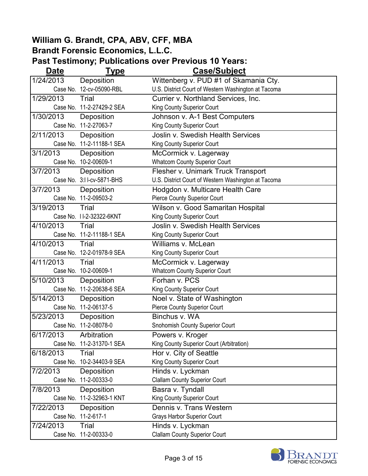| Date      | <u>Type</u>               | <b>Case/Subject</b>                                 |
|-----------|---------------------------|-----------------------------------------------------|
| 1/24/2013 | Deposition                | Wittenberg v. PUD #1 of Skamania Cty.               |
|           | Case No. 12-cv-05090-RBL  | U.S. District Court of Western Washington at Tacoma |
| 1/29/2013 | Trial                     | Currier v. Northland Services, Inc.                 |
|           | Case No. 11-2-27429-2 SEA | King County Superior Court                          |
| 1/30/2013 | Deposition                | Johnson v. A-1 Best Computers                       |
|           | Case No. 11-2-27063-7     | King County Superior Court                          |
| 2/11/2013 | Deposition                | <b>Joslin v. Swedish Health Services</b>            |
|           | Case No. 11-2-11188-1 SEA | King County Superior Court                          |
| 3/1/2013  | Deposition                | McCormick v. Lagerway                               |
|           | Case No. 10-2-00609-1     | <b>Whatcom County Superior Court</b>                |
| 3/7/2013  | Deposition                | Flesher v. Unimark Truck Transport                  |
|           | Case No. 3:11-cv-5871-BHS | U.S. District Court of Western Washington at Tacoma |
| 3/7/2013  | Deposition                | Hodgdon v. Multicare Health Care                    |
|           | Case No. 11-2-09503-2     | <b>Pierce County Superior Court</b>                 |
| 3/19/2013 | Trial                     | Wilson v. Good Samaritan Hospital                   |
|           | Case No. 11-2-32322-6KNT  | King County Superior Court                          |
| 4/10/2013 | Trial                     | <b>Joslin v. Swedish Health Services</b>            |
|           | Case No. 11-2-11188-1 SEA | King County Superior Court                          |
| 4/10/2013 | Trial                     | Williams v. McLean                                  |
|           | Case No. 12-2-01978-9 SEA | King County Superior Court                          |
| 4/11/2013 | Trial                     | McCormick v. Lagerway                               |
|           | Case No. 10-2-00609-1     | <b>Whatcom County Superior Court</b>                |
| 5/10/2013 | Deposition                | Forhan v. PCS                                       |
|           | Case No. 11-2-20638-6 SEA | King County Superior Court                          |
| 5/14/2013 | Deposition                | Noel v. State of Washington                         |
|           | Case No. 11-2-06137-5     | Pierce County Superior Court                        |
| 5/23/2013 | Deposition                | Binchus v. WA                                       |
|           | Case No. 11-2-08078-0     | Snohomish County Superior Court                     |
| 6/17/2013 | Arbitration               | Powers v. Kroger                                    |
|           | Case No. 11-2-31370-1 SEA | King County Superior Court (Arbitration)            |
| 6/18/2013 | Trial                     | Hor v. City of Seattle                              |
|           | Case No. 10-2-34403-9 SEA | King County Superior Court                          |
| 7/2/2013  | Deposition                | Hinds v. Lyckman                                    |
|           | Case No. 11-2-00333-0     | <b>Clallam County Superior Court</b>                |
| 7/8/2013  | Deposition                | Basra v. Tyndall                                    |
|           | Case No. 11-2-32963-1 KNT | King County Superior Court                          |
| 7/22/2013 | Deposition                | Dennis v. Trans Western                             |
|           | Case No. 11-2-617-1       | <b>Grays Harbor Superior Court</b>                  |
| 7/24/2013 | Trial                     | Hinds v. Lyckman                                    |
|           | Case No. 11-2-00333-0     | <b>Clallam County Superior Court</b>                |

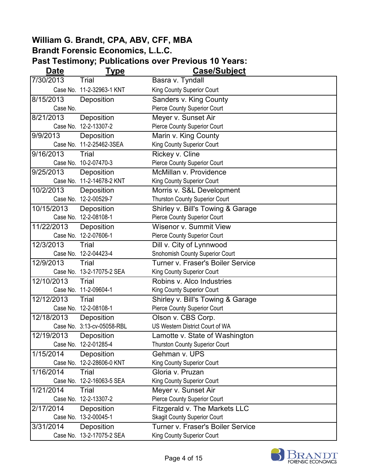| <b>Date</b>         | <u>Type</u>                | <b>Case/Subject</b>                      |
|---------------------|----------------------------|------------------------------------------|
| 7/30/2013           | Trial                      | Basra v. Tyndall                         |
|                     | Case No. 11-2-32963-1 KNT  | King County Superior Court               |
| 8/15/2013           | Deposition                 | Sanders v. King County                   |
| Case No.            |                            | Pierce County Superior Court             |
| 8/21/2013           | Deposition                 | Meyer v. Sunset Air                      |
|                     | Case No. 12-2-13307-2      | Pierce County Superior Court             |
| 9/9/2013            | Deposition                 | Marin v. King County                     |
|                     | Case No. 11-2-25462-3SEA   | King County Superior Court               |
| 9/16/2013           | Trial                      | Rickey v. Cline                          |
|                     | Case No. 10-2-07470-3      | <b>Pierce County Superior Court</b>      |
| 9/25/2013           | Deposition                 | McMillan v. Providence                   |
|                     | Case No. 11-2-14678-2 KNT  | King County Superior Court               |
| 10/2/2013           | Deposition                 | Morris v. S&L Development                |
|                     | Case No. 12-2-00529-7      | <b>Thurston County Superior Court</b>    |
| 10/15/2013          | Deposition                 | Shirley v. Bill's Towing & Garage        |
|                     | Case No. 12-2-08108-1      | <b>Pierce County Superior Court</b>      |
| 11/22/2013          | Deposition                 | Wisenor v. Summit View                   |
|                     | Case No. 12-2-07606-1      | <b>Pierce County Superior Court</b>      |
| 12/3/2013           | Trial                      | Dill v. City of Lynnwood                 |
|                     | Case No. 12-2-04423-4      | Snohomish County Superior Court          |
| 12/9/2013           | Trial                      | <b>Turner v. Fraser's Boiler Service</b> |
|                     | Case No. 13-2-17075-2 SEA  | King County Superior Court               |
| 12/10/2013          | Trial                      | Robins v. Alco Industries                |
|                     | Case No. 11-2-09604-1      | King County Superior Court               |
| 12/12/2013          | Trial                      | Shirley v. Bill's Towing & Garage        |
|                     | Case No. 12-2-08108-1      | Pierce County Superior Court             |
| 12/18/2013          | Deposition                 | Olson v. CBS Corp.                       |
|                     | Case No. 3:13-cv-05058-RBL | US Western District Court of WA          |
| $\sqrt{12/19/2013}$ | Deposition                 | Lamotte v. State of Washington           |
|                     | Case No. 12-2-01285-4      | <b>Thurston County Superior Court</b>    |
| 1/15/2014           | Deposition                 | Gehman v. UPS                            |
|                     | Case No. 12-2-28606-0 KNT  | King County Superior Court               |
| 1/16/2014           | Trial                      | Gloria v. Pruzan                         |
|                     | Case No. 12-2-16063-5 SEA  | King County Superior Court               |
| 1/21/2014           | Trial                      | Meyer v. Sunset Air                      |
|                     | Case No. 12-2-13307-2      | <b>Pierce County Superior Court</b>      |
| 2/17/2014           | Deposition                 | <b>Fitzgerald v. The Markets LLC</b>     |
|                     | Case No. 13-2-00045-1      | <b>Skagit County Superior Court</b>      |
| 3/31/2014           | Deposition                 | <b>Turner v. Fraser's Boiler Service</b> |
|                     | Case No. 13-2-17075-2 SEA  | King County Superior Court               |

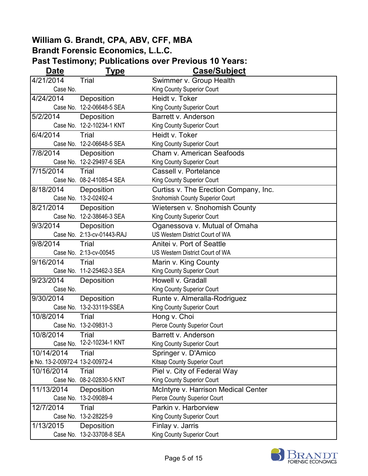| <b>Date</b>                     | <u>Type</u>                | Case/Subject                          |
|---------------------------------|----------------------------|---------------------------------------|
| 4/21/2014                       | Trial                      | Swimmer v. Group Health               |
| Case No.                        |                            | King County Superior Court            |
| 4/24/2014                       | Deposition                 | Heidt v. Toker                        |
|                                 | Case No. 12-2-06648-5 SEA  | King County Superior Court            |
| 5/2/2014                        | Deposition                 | Barrett v. Anderson                   |
|                                 | Case No. 12-2-10234-1 KNT  | King County Superior Court            |
| 6/4/2014                        | Trial                      | Heidt v. Toker                        |
|                                 | Case No. 12-2-06648-5 SEA  | King County Superior Court            |
| 7/8/2014                        | Deposition                 | Cham v. American Seafoods             |
|                                 | Case No. 12-2-29497-6 SEA  | King County Superior Court            |
| 7/15/2014                       | Trial                      | Cassell v. Portelance                 |
|                                 | Case No. 08-2-41085-4 SEA  | King County Superior Court            |
| 8/18/2014                       | Deposition                 | Curtiss v. The Erection Company, Inc. |
|                                 | Case No. 13-2-02492-4      | Snohomish County Superior Court       |
| 8/21/2014                       | Deposition                 | Wietersen v. Snohomish County         |
|                                 | Case No. 12-2-38646-3 SEA  | King County Superior Court            |
| 9/3/2014                        | Deposition                 | Oganessova v. Mutual of Omaha         |
|                                 | Case No. 2:13-cv-01443-RAJ | US Western District Court of WA       |
| 9/8/2014                        | Trial                      | Anitei v. Port of Seattle             |
|                                 | Case No. 2:13-cv-00545     | US Western District Court of WA       |
| 9/16/2014                       | Trial                      | Marin v. King County                  |
|                                 | Case No. 11-2-25462-3 SEA  | King County Superior Court            |
| 9/23/2014                       | Deposition                 | Howell v. Gradall                     |
| Case No.                        |                            | King County Superior Court            |
| 9/30/2014                       | Deposition                 | Runte v. Almeralla-Rodriguez          |
|                                 | Case No. 13-2-33119-SSEA   | King County Superior Court            |
| 10/8/2014                       | Trial                      | Hong v. Choi                          |
|                                 | Case No. 13-2-09831-3      | <b>Pierce County Superior Court</b>   |
| 10/8/2014                       | Trial                      | Barrett v. Anderson                   |
|                                 | Case No. 12-2-10234-1 KNT  | King County Superior Court            |
| 10/14/2014                      | Trial                      | Springer v. D'Amico                   |
| e No. 13-2-00972-4 13-2-00972-4 |                            | Kitsap County Superior Court          |
| 10/16/2014                      | Trial                      | Piel v. City of Federal Way           |
|                                 | Case No. 08-2-02830-5 KNT  | King County Superior Court            |
| 11/13/2014                      | Deposition                 | McIntyre v. Harrison Medical Center   |
|                                 | Case No. 13-2-09089-4      | <b>Pierce County Superior Court</b>   |
| 12/7/2014                       | Trial                      | Parkin v. Harborview                  |
|                                 | Case No. 13-2-28225-9      | King County Superior Court            |
| 1/13/2015                       | Deposition                 | Finlay v. Jarris                      |
|                                 | Case No. 13-2-33708-8 SEA  | King County Superior Court            |

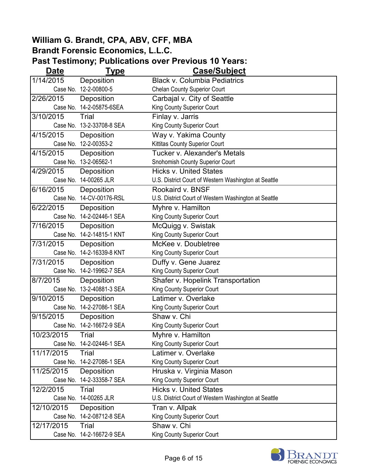| <b>Date</b> | <u>Type</u>               | <b>Case/Subject</b>                                  |
|-------------|---------------------------|------------------------------------------------------|
| 1/14/2015   | Deposition                | <b>Black v. Columbia Pediatrics</b>                  |
|             | Case No. 12-2-00800-5     | <b>Chelan County Superior Court</b>                  |
| 2/26/2015   | Deposition                | Carbajal v. City of Seattle                          |
|             | Case No. 14-2-05875-6SEA  | King County Superior Court                           |
| 3/10/2015   | Trial                     | Finlay v. Jarris                                     |
|             | Case No. 13-2-33708-8 SEA | King County Superior Court                           |
| 4/15/2015   | Deposition                | Way v. Yakima County                                 |
|             | Case No. 12-2-00353-2     | Kittitas County Superior Court                       |
| 4/15/2015   | Deposition                | Tucker v. Alexander's Metals                         |
|             | Case No. 13-2-06562-1     | Snohomish County Superior Court                      |
| 4/29/2015   | Deposition                | <b>Hicks v. United States</b>                        |
|             | Case No. 14-00265 JLR     | U.S. District Court of Western Washington at Seattle |
| 6/16/2015   | Deposition                | Rookaird v. BNSF                                     |
|             | Case No. 14-CV-00176-RSL  | U.S. District Court of Western Washington at Seattle |
| 6/22/2015   | Deposition                | Myhre v. Hamilton                                    |
|             | Case No. 14-2-02446-1 SEA | King County Superior Court                           |
| 7/16/2015   | Deposition                | McQuigg v. Swistak                                   |
|             | Case No. 14-2-14815-1 KNT | King County Superior Court                           |
| 7/31/2015   | Deposition                | McKee v. Doubletree                                  |
|             | Case No. 14-2-16339-8 KNT | King County Superior Court                           |
| 7/31/2015   | Deposition                | Duffy v. Gene Juarez                                 |
|             | Case No. 14-2-19962-7 SEA | King County Superior Court                           |
| 8/7/2015    | Deposition                | Shafer v. Hopelink Transportation                    |
|             | Case No. 13-2-40881-3 SEA | King County Superior Court                           |
| 9/10/2015   | Deposition                | Latimer v. Overlake                                  |
|             | Case No. 14-2-27086-1 SEA | King County Superior Court                           |
| 9/15/2015   | Deposition                | Shaw v. Chi                                          |
|             | Case No. 14-2-16672-9 SEA | King County Superior Court                           |
| 10/23/2015  | Trial                     | Myhre v. Hamilton                                    |
|             | Case No. 14-2-02446-1 SEA | King County Superior Court                           |
| 11/17/2015  | Trial                     | Latimer v. Overlake                                  |
|             | Case No. 14-2-27086-1 SEA | King County Superior Court                           |
| 11/25/2015  | Deposition                | Hruska v. Virginia Mason                             |
|             | Case No. 14-2-33358-7 SEA | King County Superior Court                           |
| 12/2/2015   | Trial                     | <b>Hicks v. United States</b>                        |
|             | Case No. 14-00265 JLR     | U.S. District Court of Western Washington at Seattle |
| 12/10/2015  | Deposition                | Tran v. Allpak                                       |
|             | Case No. 14-2-08712-8 SEA | King County Superior Court                           |
| 12/17/2015  | Trial                     | Shaw v. Chi                                          |
|             | Case No. 14-2-16672-9 SEA | King County Superior Court                           |

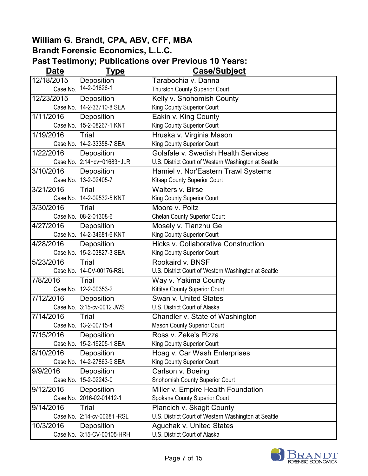| <b>Date</b> | <u>Type</u>                | <b>Case/Subject</b>                                  |
|-------------|----------------------------|------------------------------------------------------|
| 12/18/2015  | Deposition                 | Tarabochia v. Danna                                  |
| Case No.    | 14-2-01626-1               | Thurston County Superior Court                       |
| 12/23/2015  | Deposition                 | Kelly v. Snohomish County                            |
|             | Case No. 14-2-33710-8 SEA  | King County Superior Court                           |
| 1/11/2016   | Deposition                 | Eakin v. King County                                 |
|             | Case No. 15-2-08267-1 KNT  | King County Superior Court                           |
| 1/19/2016   | Trial                      | Hruska v. Virginia Mason                             |
|             | Case No. 14-2-33358-7 SEA  | King County Superior Court                           |
| 1/22/2016   | Deposition                 | <b>Golafale v. Swedish Health Services</b>           |
|             | Case No. 2:14-cv-01683-JLR | U.S. District Court of Western Washington at Seattle |
| 3/10/2016   | Deposition                 | Hamiel v. Nor'Eastern Trawl Systems                  |
|             | Case No. 13-2-02405-7      | Kitsap County Superior Court                         |
| 3/21/2016   | Trial                      | <b>Walters v. Birse</b>                              |
|             | Case No. 14-2-09532-5 KNT  | King County Superior Court                           |
| 3/30/2016   | Trial                      | Moore v. Poltz                                       |
|             | Case No. 08-2-01308-6      | <b>Chelan County Superior Court</b>                  |
| 4/27/2016   | Deposition                 | Mosely v. Tianzhu Ge                                 |
|             | Case No. 14-2-34681-6 KNT  | King County Superior Court                           |
| 4/28/2016   | Deposition                 | <b>Hicks v. Collaborative Construction</b>           |
|             | Case No. 15-2-03827-3 SEA  | King County Superior Court                           |
| 5/23/2016   | Trial                      | Rookaird v. BNSF                                     |
|             | Case No. 14-CV-00176-RSL   | U.S. District Court of Western Washington at Seattle |
| 7/8/2016    | Trial                      | Way v. Yakima County                                 |
|             | Case No. 12-2-00353-2      | Kittitas County Superior Court                       |
| 7/12/2016   | Deposition                 | <b>Swan v. United States</b>                         |
|             | Case No. 3:15-cv-0012 JWS  | U.S. District Court of Alaska                        |
| 7/14/2016   | Trial                      | Chandler v. State of Washington                      |
|             | Case No. 13-2-00715-4      | Mason County Superior Court                          |
| 7/15/2016   | Deposition                 | Ross v. Zeke's Pizza                                 |
|             | Case No. 15-2-19205-1 SEA  | King County Superior Court                           |
| 8/10/2016   | Deposition                 | Hoag v. Car Wash Enterprises                         |
|             | Case No. 14-2-27863-9 SEA  | King County Superior Court                           |
| 9/9/2016    | Deposition                 | Carlson v. Boeing                                    |
|             | Case No. 15-2-02243-0      | Snohomish County Superior Court                      |
| 9/12/2016   | Deposition                 | Miller v. Empire Health Foundation                   |
|             | Case No. 2016-02-01412-1   | Spokane County Superior Court                        |
| 9/14/2016   | Trial                      | Plancich v. Skagit County                            |
|             | Case No. 2:14-cv-00681-RSL | U.S. District Court of Western Washington at Seattle |
| 10/3/2016   | Deposition                 | <b>Aguchak v. United States</b>                      |
|             | Case No. 3:15-CV-00105-HRH | U.S. District Court of Alaska                        |

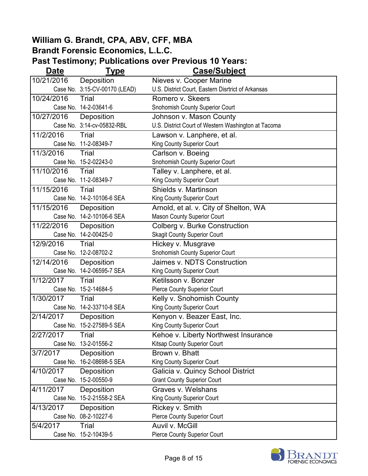| <b>Date</b> | <b>Type</b>                   | <b>Case/Subject</b>                                 |
|-------------|-------------------------------|-----------------------------------------------------|
| 10/21/2016  | Deposition                    | Nieves v. Cooper Marine                             |
|             | Case No. 3:15-CV-00170 (LEAD) | U.S. District Court, Eastern Disrtrict of Arkansas  |
| 10/24/2016  | Trial                         | Romero v. Skeers                                    |
|             | Case No. 14-2-03641-6         | Snohomish County Superior Court                     |
| 10/27/2016  | Deposition                    | Johnson v. Mason County                             |
|             | Case No. 3:14-cv-05832-RBL    | U.S. District Court of Western Washington at Tacoma |
| 11/2/2016   | Trial                         | Lawson v. Lanphere, et al.                          |
|             | Case No. 11-2-08349-7         | King County Superior Court                          |
| 11/3/2016   | Trial                         | Carlson v. Boeing                                   |
|             | Case No. 15-2-02243-0         | Snohomish County Superior Court                     |
| 11/10/2016  | Trial                         | Talley v. Lanphere, et al.                          |
|             | Case No. 11-2-08349-7         | King County Superior Court                          |
| 11/15/2016  | Trial                         | Shields v. Martinson                                |
|             | Case No. 14-2-10106-6 SEA     | King County Superior Court                          |
| 11/15/2016  | Deposition                    | Arnold, et al. v. City of Shelton, WA               |
|             | Case No. 14-2-10106-6 SEA     | <b>Mason County Superior Court</b>                  |
| 11/22/2016  | Deposition                    | Colberg v. Burke Construction                       |
|             | Case No. 14-2-00425-0         | <b>Skagit County Superior Court</b>                 |
| 12/9/2016   | Trial                         | Hickey v. Musgrave                                  |
|             | Case No. 12-2-08702-2         | Snohomish County Superior Court                     |
| 12/14/2016  | Deposition                    | Jaimes v. NDTS Construction                         |
|             | Case No. 14-2-06595-7 SEA     | King County Superior Court                          |
| 1/12/2017   | Trial                         | Ketilsson v. Bonzer                                 |
|             | Case No. 15-2-14684-5         | Pierce County Superior Court                        |
| 1/30/2017   | Trial                         | Kelly v. Snohomish County                           |
|             | Case No. 14-2-33710-8 SEA     | King County Superior Court                          |
| 2/14/2017   | Deposition                    | Kenyon v. Beazer East, Inc.                         |
|             | Case No. 15-2-27589-5 SEA     | King County Superior Court                          |
| 2/27/2017   | Trial                         | Kehoe v. Liberty Northwest Insurance                |
|             | Case No. 13-2-01556-2         | Kitsap County Superior Court                        |
| 3/7/2017    | Deposition                    | Brown v. Bhatt                                      |
|             | Case No. 16-2-08698-5 SEA     | King County Superior Court                          |
| 4/10/2017   | Deposition                    | Galicia v. Quincy School District                   |
|             | Case No. 15-2-00550-9         | <b>Grant County Superior Court</b>                  |
| 4/11/2017   | Deposition                    | Graves v. Welshans                                  |
|             | Case No. 15-2-21558-2 SEA     | King County Superior Court                          |
| 4/13/2017   | Deposition                    | Rickey v. Smith                                     |
|             | Case No. 08-2-10227-6         | <b>Pierce County Superior Court</b>                 |
| 5/4/2017    | Trial                         | Auvil v. McGill                                     |
|             | Case No. 15-2-10439-5         | <b>Pierce County Superior Court</b>                 |

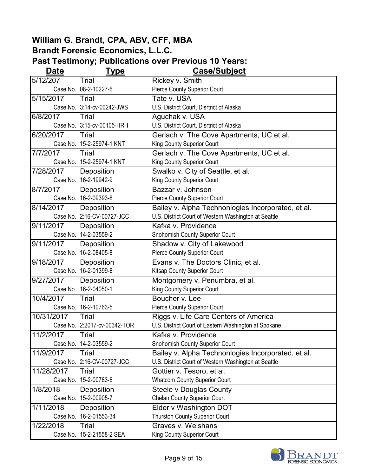| <b>Date</b> | <b>Type</b>                  | <b>Case/Subject</b>                                  |
|-------------|------------------------------|------------------------------------------------------|
| 5/12/207    | Trial                        | Rickey v. Smith                                      |
|             | Case No. 08-2-10227-6        | Pierce County Superior Court                         |
| 5/15/2017   | Trial                        | Tate v. USA                                          |
|             | Case No. 3:14-cv-00242-JWS   | U.S. District Court, Disrtrict of Alaska             |
| 6/8/2017    | Trial                        | Aguchak v. USA                                       |
|             | Case No. 3:15-cv-00105-HRH   | U.S. District Court, Disrtrict of Alaska             |
| 6/20/2017   | Trial                        | Gerlach v. The Cove Apartments, UC et al.            |
|             | Case No. 15-2-25974-1 KNT    | King County Superior Court                           |
| 7/7/2017    | Trial                        | Gerlach v. The Cove Apartments, UC et al.            |
|             | Case No. 15-2-25974-1 KNT    | King County Superior Court                           |
| 7/28/2017   | Deposition                   | Swalko v. City of Seattle, et al.                    |
|             | Case No. 16-2-19942-9        | King County Superior Court                           |
| 8/7/2017    | Deposition                   | Bazzar v. Johnson                                    |
|             | Case No. 16-2-09393-6        | <b>Pierce County Superior Court</b>                  |
| 8/14/2017   | Deposition                   | Bailey v. Alpha Technonlogies Incorporated, et al.   |
|             | Case No. 2:16-CV-00727-JCC   | U.S. District Court of Western Washington at Seattle |
| 9/11/2017   | Deposition                   | Kafka v. Providence                                  |
|             | Case No. 14-2-03559-2        | Snohomish County Superior Court                      |
| 9/11/2017   | Deposition                   | Shadow v. City of Lakewood                           |
|             | Case No. 16-2-08405-8        | Pierce County Superior Court                         |
| 9/18/2017   | Deposition                   | Evans v. The Doctors Clinic, et al.                  |
|             | Case No. 16-2-01399-8        | Kitsap County Superior Court                         |
| 9/27/2017   | Deposition                   | Montgomery v. Penumbra, et al.                       |
|             | Case No. 16-2-04050-1        | King County Superior Court                           |
| 10/4/2017   | Trial                        | Boucher v. Lee                                       |
|             | Case No. 16-2-10763-5        | <b>Pierce County Superior Court</b>                  |
| 10/31/2017  | Trial                        | Riggs v. Life Care Centers of America                |
|             | Case No. 2:2017-cv-00342-TOR | U.S. District Court of Eastern Washington at Spokane |
| 11/2/2017   | Trial                        | Kafka v. Providence                                  |
|             | Case No. 14-2-03559-2        | Snohomish County Superior Court                      |
| 11/9/2017   | Trial                        | Bailey v. Alpha Technonlogies Incorporated, et al.   |
|             | Case No. 2:16-CV-00727-JCC   | U.S. District Court of Western Washington at Seattle |
| 11/28/2017  | Trial                        | Gottier v. Tesoro, et al.                            |
|             | Case No. 15-2-00783-8        | <b>Whatcom County Superior Court</b>                 |
| 1/8/2018    | Deposition                   | <b>Steele v Douglas County</b>                       |
|             | Case No. 15-2-00905-7        | <b>Chelan County Superior Court</b>                  |
| 1/11/2018   | Deposition                   | Elder v Washington DOT                               |
|             | Case No. 16-2-01553-34       | <b>Thurston County Superior Court</b>                |
| 1/22/2018   | Trial                        | Graves v. Welshans                                   |
|             | Case No. 15-2-21558-2 SEA    | King County Superior Court                           |

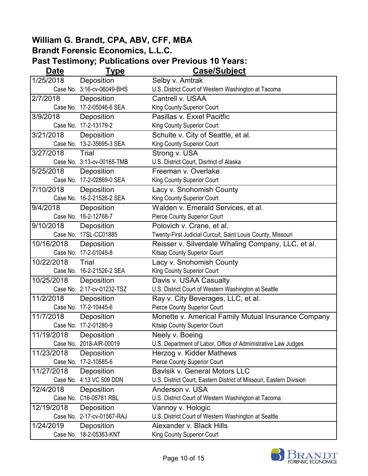| <b>Date</b> | <b>Type</b>                | Case/Subject                                                        |
|-------------|----------------------------|---------------------------------------------------------------------|
| 1/25/2018   | Deposition                 | Selby v. Amtrak                                                     |
|             | Case No. 3:16-cv-06049-BHS | U.S. District Court of Western Washington at Tacoma                 |
| 2/7/2018    | Deposition                 | Cantrell v. USAA                                                    |
|             | Case No. 17-2-05046-6 SEA  | King County Superior Court                                          |
| 3/9/2018    | Deposition                 | Pasillas v. Exxel Pacitfic                                          |
|             | Case No. 17-2-13179-2      | King County Superior Court                                          |
| 3/21/2018   | Deposition                 | Schulte v. City of Seattle, et al.                                  |
|             | Case No. 13-2-35695-3 SEA  | King County Superior Court                                          |
| 3/27/2018   | Trial                      | Strong v. USA                                                       |
|             | Case No. 3:13-cv-00165-TMB | U.S. District Court, Disrtrict of Alaska                            |
| 5/25/2018   | Deposition                 | Freeman v. Overlake                                                 |
|             | Case No. 17-2-02869-0 SEA  | King County Superior Court                                          |
| 7/10/2018   | Deposition                 | Lacy v. Snohomish County                                            |
|             | Case No. 16-2-21526-2 SEA  | King County Superior Court                                          |
| 9/4/2018    | Deposition                 | Walden v. Emerald Services, et al.                                  |
|             | Case No. 16-2-12768-7      | <b>Pierce County Superior Court</b>                                 |
| 9/10/2018   | Deposition                 | Polovich v. Crane, et al.                                           |
|             | Case No. 17SL-CC01885      | Twenty-First Judicial Curcuit, Saint Louis County, Missouri         |
| 10/16/2018  | Deposition                 | Reisser v. Silverdale Whaling Company, LLC, et al.                  |
|             | Case No. 17-2-01045-8      | Kitsap County Superior Court                                        |
| 10/22/2018  | Trial                      | Lacy v. Snohomish County                                            |
|             | Case No. 16-2-21526-2 SEA  | King County Superior Court                                          |
| 10/25/2018  | Deposition                 | Davis v. USAA Casualty                                              |
|             | Case No. 2:17-cv-01232-TSZ | U.S. District Court of Western Washington at Seattle                |
| 11/2/2018   | Deposition                 | Ray v. City Beverages, LLC, et al.                                  |
|             | Case No. 17-2-10445-6      | <b>Pierce County Superior Court</b>                                 |
| 11/7/2018   | Deposition                 | Monette v. Americal Family Mutual Insurance Company                 |
|             | Case No. 17-2-01280-9      | Kitsap County Superior Court                                        |
| 11/19/2018  | Deposition                 | Neely v. Boeing                                                     |
|             | Case No. 2018-AIR-00019    | U.S. Department of Labor, Office of Administrative Law Judges       |
| 11/23/2018  | Deposition                 | Herzog v. Kidder Mathews                                            |
|             | Case No. 17-2-10585-6      | <b>Pierce County Superior Court</b>                                 |
| 11/27/2018  | Deposition                 | Bavlsik v. General Motors LLC                                       |
|             | Case No. 4:13 VC 509 DDN   | U.S. District Court, Eastern District of Missouri, Eastern Division |
| 12/4/2018   | Deposition                 | Anderson v. USA                                                     |
|             | Case No. C16-05781 RBL     | U.S. District Court of Western Washington at Tacoma                 |
| 12/19/2018  | Deposition                 | Vannoy v. Hologic                                                   |
|             | Case No. 2-17-cv-01567-RAJ | U.S. District Court of Western Washington at Seattle                |
| 1/24/2019   | Deposition                 | Alexander v. Black Hills                                            |
|             | Case No. 18-2-05363-KNT    | King County Superior Court                                          |

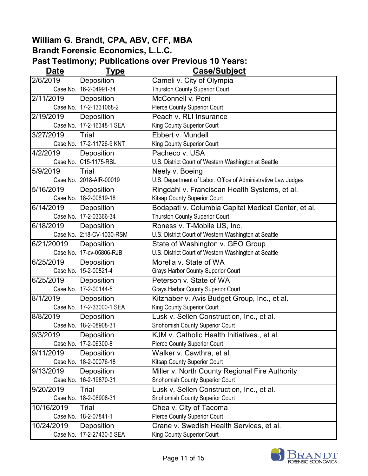| Date       | <b>Type</b>               | <b>Case/Subject</b>                                           |
|------------|---------------------------|---------------------------------------------------------------|
| 2/6/2019   | Deposition                | Cameli v. City of Olympia                                     |
|            | Case No. 16-2-04991-34    | Thurston County Superior Court                                |
| 2/11/2019  | Deposition                | McConnell v. Peni                                             |
|            | Case No. 17-2-1331068-2   | <b>Pierce County Superior Court</b>                           |
| 2/19/2019  | Deposition                | Peach v. RLI Insurance                                        |
|            | Case No. 17-2-16348-1 SEA | King County Superior Court                                    |
| 3/27/2019  | Trial                     | Ebbert v. Mundell                                             |
|            | Case No. 17-2-11726-9 KNT | King County Superior Court                                    |
| 4/2/2019   | Deposition                | Pacheco v. USA                                                |
|            | Case No. C15-1175-RSL     | U.S. District Court of Western Washington at Seattle          |
| 5/9/2019   | Trial                     | Neely v. Boeing                                               |
|            | Case No. 2018-AIR-00019   | U.S. Department of Labor, Office of Administrative Law Judges |
| 5/16/2019  | Deposition                | Ringdahl v. Franciscan Health Systems, et al.                 |
|            | Case No. 18-2-00819-18    | Kitsap County Superior Court                                  |
| 6/14/2019  | Deposition                | Bodapati v. Columbia Capital Medical Center, et al.           |
|            | Case No. 17-2-03366-34    | <b>Thurston County Superior Court</b>                         |
| 6/18/2019  | Deposition                | Roness v. T-Mobile US, Inc.                                   |
|            | Case No. 2:18-CV-1030-RSM | U.S. District Court of Western Washington at Seattle          |
| 6/21/20019 | Deposition                | State of Washington v. GEO Group                              |
|            | Case No. 17-cv-05806-RJB  | U.S. District Court of Western Washington at Seattle          |
| 6/25/2019  | Deposition                | Morella v. State of WA                                        |
|            | Case No. 15-2-00821-4     | <b>Grays Harbor County Superior Court</b>                     |
| 6/25/2019  | Deposition                | Peterson v. State of WA                                       |
|            | Case No. 17-2-00144-5     | <b>Grays Harbor County Superior Court</b>                     |
| 8/1/2019   | Deposition                | Kitzhaber v. Avis Budget Group, Inc., et al.                  |
|            | Case No. 17-2-33000-1 SEA | King County Superior Court                                    |
| 8/8/2019   | Deposition                | Lusk v. Sellen Construction, Inc., et al.                     |
|            | Case No. 18-2-08908-31    | <b>Snohomish County Superior Court</b>                        |
| 9/3/2019   | Deposition                | KJM v. Catholic Health Initiatives., et al.                   |
|            | Case No. 17-2-06300-8     | <b>Pierce County Superior Court</b>                           |
| 9/11/2019  | Deposition                | Walker v. Cawthra, et al.                                     |
|            | Case No. 18-2-00076-18    | Kitsap County Superior Court                                  |
| 9/13/2019  | Deposition                | Miller v. North County Regional Fire Authority                |
|            | Case No. 16-2-19870-31    | Snohomish County Superior Court                               |
| 9/20/2019  | Trial                     | Lusk v. Sellen Construction, Inc., et al.                     |
|            | Case No. 18-2-08908-31    | Snohomish County Superior Court                               |
| 10/16/2019 | Trial                     | Chea v. City of Tacoma                                        |
|            | Case No. 18-2-07841-1     | <b>Pierce County Superior Court</b>                           |
| 10/24/2019 | Deposition                | Crane v. Swedish Health Services, et al.                      |
|            | Case No. 17-2-27430-5 SEA | King County Superior Court                                    |

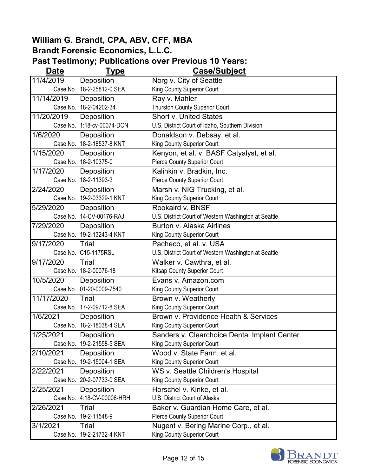| <b>Date</b> | <b>Type</b>                | <b>Case/Subject</b>                                  |
|-------------|----------------------------|------------------------------------------------------|
| 11/4/2019   | Deposition                 | Norg v. City of Seattle                              |
|             | Case No. 18-2-25812-0 SEA  | King County Superior Court                           |
| 11/14/2019  | Deposition                 | Ray v. Mahler                                        |
|             | Case No. 18-2-04202-34     | <b>Thurston County Superior Court</b>                |
| 11/20/2019  | Deposition                 | <b>Short v. United States</b>                        |
|             | Case No. 1:18-cv-00074-DCN | U.S. District Court of Idaho, Southern Division      |
| 1/6/2020    | Deposition                 | Donaldson v. Debsay, et al.                          |
|             | Case No. 18-2-18537-8 KNT  | King County Superior Court                           |
| 1/15/2020   | Deposition                 | Kenyon, et al. v. BASF Catyalyst, et al.             |
|             | Case No. 18-2-10375-0      | Pierce County Superior Court                         |
| 1/17/2020   | Deposition                 | Kalinkin v. Bradkin, Inc.                            |
|             | Case No. 18-2-11393-3      | <b>Pierce County Superior Court</b>                  |
| 2/24/2020   | Deposition                 | Marsh v. NIG Trucking, et al.                        |
|             | Case No. 19-2-03329-1 KNT  | King County Superior Court                           |
| 5/29/2020   | Deposition                 | Rookaird v. BNSF                                     |
|             | Case No. 14-CV-00176-RAJ   | U.S. District Court of Western Washington at Seattle |
| 7/29/2020   | Deposition                 | Burton v. Alaska Airlines                            |
|             | Case No. 19-2-13243-4 KNT  | King County Superior Court                           |
| 9/17/2020   | Trial                      | Pacheco, et al. v. USA                               |
|             | Case No. C15-1175RSL       | U.S. District Court of Western Washington at Seattle |
| 9/17/2020   | Trial                      | Walker v. Cawthra, et al.                            |
|             | Case No. 18-2-00076-18     | Kitsap County Superior Court                         |
| 10/5/2020   | Deposition                 | Evans v. Amazon.com                                  |
|             | Case No. 01-20-0009-7540   | King County Superior Court                           |
| 11/17/2020  | Trial                      | Brown v. Weatherly                                   |
|             | Case No. 17-2-09712-8 SEA  | King County Superior Court                           |
| 1/6/2021    | Deposition                 | Brown v. Providence Health & Services                |
|             | Case No. 18-2-18038-4 SEA  | King County Superior Court                           |
| 1/25/2021   | Deposition                 | Sanders v. Clearchoice Dental Implant Center         |
|             | Case No. 19-2-21558-5 SEA  | King County Superior Court                           |
| 2/10/2021   | Deposition                 | Wood v. State Farm, et al.                           |
|             | Case No. 19-2-15004-1 SEA  | King County Superior Court                           |
| 2/22/2021   | Deposition                 | WS v. Seattle Children's Hospital                    |
|             | Case No. 20-2-07733-0 SEA  | King County Superior Court                           |
| 2/25/2021   | Deposition                 | Horschel v. Kinke, et al.                            |
|             | Case No. 4:18-CV-00006-HRH | U.S. District Court of Alaska                        |
| 2/26/2021   | Trial                      | Baker v. Guardian Home Care, et al.                  |
|             | Case No. 19-2-11548-9      | <b>Pierce County Superior Court</b>                  |
| 3/1/2021    | Trial                      | Nugent v. Bering Marine Corp., et al.                |
|             | Case No. 19-2-21732-4 KNT  | King County Superior Court                           |

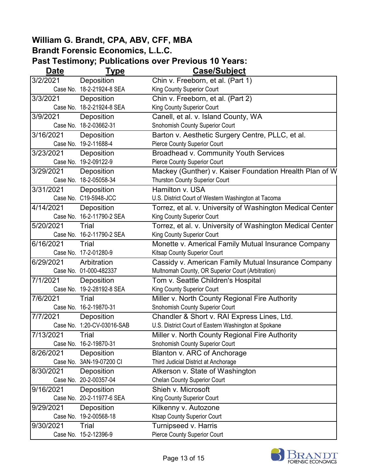| Date      | <b>Type</b>                | Case/Subject                                              |
|-----------|----------------------------|-----------------------------------------------------------|
| 3/2/2021  | Deposition                 | Chin v. Freeborn, et al. (Part 1)                         |
|           | Case No. 18-2-21924-8 SEA  | King County Superior Court                                |
| 3/3/2021  | Deposition                 | Chin v. Freeborn, et al. (Part 2)                         |
|           | Case No. 18-2-21924-8 SEA  | King County Superior Court                                |
| 3/9/2021  | Deposition                 | Canell, et al. v. Island County, WA                       |
|           | Case No. 18-2-03662-31     | <b>Snohomish County Superior Court</b>                    |
| 3/16/2021 | Deposition                 | Barton v. Aesthetic Surgery Centre, PLLC, et al.          |
|           | Case No. 19-2-11688-4      | Pierce County Superior Court                              |
| 3/23/2021 | Deposition                 | <b>Broadhead v. Community Youth Services</b>              |
|           | Case No. 19-2-09122-9      | <b>Pierce County Superior Court</b>                       |
| 3/29/2021 | Deposition                 | Mackey (Gunther) v. Kaiser Foundation Hrealth Plan of W   |
|           | Case No. 18-2-05058-34     | Thurston County Superior Court                            |
| 3/31/2021 | Deposition                 | Hamilton v. USA                                           |
|           | Case No. C19-5948-JCC      | U.S. District Court of Western Washington at Tacoma       |
| 4/14/2021 | Deposition                 | Torrez, et al. v. University of Washington Medical Center |
|           | Case No. 16-2-11790-2 SEA  | King County Superior Court                                |
| 5/20/2021 | Trial                      | Torrez, et al. v. University of Washington Medical Center |
|           | Case No. 16-2-11790-2 SEA  | King County Superior Court                                |
| 6/16/2021 | Trial                      | Monette v. Americal Family Mutual Insurance Company       |
|           | Case No. 17-2-01280-9      | Kitsap County Superior Court                              |
| 6/29/2021 | Arbitration                | Cassidy v. American Family Mutual Insurance Company       |
|           | Case No. 01-000-482337     | Multnomah County, OR Superior Court (Arbitration)         |
| 7/1/2021  | Deposition                 | Tom v. Seattle Children's Hospital                        |
|           | Case No. 19-2-28192-8 SEA  | King County Superior Court                                |
| 7/6/2021  | Trial                      | Miller v. North County Regional Fire Authority            |
|           | Case No. 16-2-19870-31     | Snohomish County Superior Court                           |
| 7/7/2021  | Deposition                 | Chandler & Short v. RAI Express Lines, Ltd.               |
|           | Case No. 1:20-CV-03016-SAB | U.S. District Court of Eastern Washington at Spokane      |
| 7/13/2021 | <b>Trial</b>               | Miller v. North County Regional Fire Authority            |
| Case No.  | 16-2-19870-31              | <b>Snohomish County Superior Court</b>                    |
| 8/26/2021 | Deposition                 | Blanton v. ARC of Anchorage                               |
|           | Case No. 3AN-19-07200 CI   | Third Judicial District at Anchorage                      |
| 8/30/2021 | Deposition                 | Atkerson v. State of Washington                           |
|           | Case No. 20-2-00357-04     | <b>Chelan County Superior Court</b>                       |
| 9/16/2021 | Deposition                 | Shieh v. Microsoft                                        |
|           | Case No. 20-2-11977-6 SEA  | King County Superior Court                                |
| 9/29/2021 | Deposition                 | Kilkenny v. Autozone                                      |
|           | Case No. 19-2-00568-18     | <b>Ktsap County Superior Court</b>                        |
| 9/30/2021 | Trial                      | Turnipseed v. Harris                                      |
|           | Case No. 15-2-12396-9      | <b>Pierce County Superior Court</b>                       |

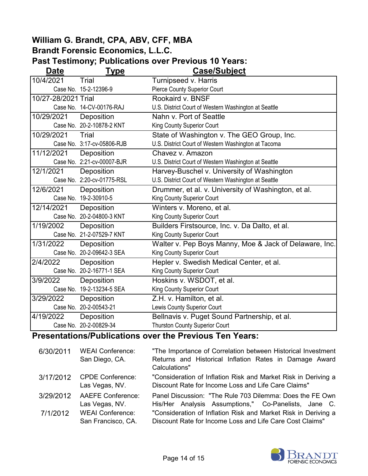#### **Past Testimony; Publications over Previous 10 Years:**

| Date                | <u>Type</u>                | <b>Case/Subject</b>                                    |
|---------------------|----------------------------|--------------------------------------------------------|
| 10/4/2021           | Trial                      | Turnipseed v. Harris                                   |
|                     | Case No. 15-2-12396-9      | <b>Pierce County Superior Court</b>                    |
| 10/27-28/2021 Trial |                            | Rookaird v. BNSF                                       |
|                     | Case No. 14-CV-00176-RAJ   | U.S. District Court of Western Washington at Seattle   |
| 10/29/2021          | Deposition                 | Nahn v. Port of Seattle                                |
|                     | Case No. 20-2-10878-2 KNT  | King County Superior Court                             |
| 10/29/2021          | Trial                      | State of Washington v. The GEO Group, Inc.             |
|                     | Case No. 3:17-cv-05806-RJB | U.S. District Court of Western Washington at Tacoma    |
| 11/12/2021          | Deposition                 | Chavez v. Amazon                                       |
|                     | Case No. 2:21-cv-00007-BJR | U.S. District Court of Western Washington at Seattle   |
| 12/1/2021           | Deposition                 | Harvey-Buschel v. University of Washington             |
|                     | Case No. 2:20-cv-01775-RSL | U.S. District Court of Western Washington at Seattle   |
| 12/6/2021           | Deposition                 | Drummer, et al. v. University of Washington, et al.    |
|                     | Case No. 19-2-30910-5      | King County Superior Court                             |
| 12/14/2021          | Deposition                 | Winters v. Moreno, et al.                              |
|                     | Case No. 20-2-04800-3 KNT  | King County Superior Court                             |
| 1/19/2002           | Deposition                 | Builders Firstsource, Inc. v. Da Dalto, et al.         |
|                     | Case No. 21-2-07529-7 KNT  | King County Superior Court                             |
| 1/31/2022           | Deposition                 | Walter v. Pep Boys Manny, Moe & Jack of Delaware, Inc. |
|                     | Case No. 20-2-09642-3 SEA  | King County Superior Court                             |
| 2/4/2022            | Deposition                 | Hepler v. Swedish Medical Center, et al.               |
|                     | Case No. 20-2-16771-1 SEA  | King County Superior Court                             |
| 3/9/2022            | Deposition                 | Hoskins v. WSDOT, et al.                               |
|                     | Case No. 19-2-13234-5 SEA  | King County Superior Court                             |
| 3/29/2022           | Deposition                 | Z.H. v. Hamilton, et al.                               |
|                     | Case No. 20-2-00543-21     | Lewis County Superior Court                            |
| 4/19/2022           | Deposition                 | Bellnavis v. Puget Sound Partnership, et al.           |
|                     | Case No. 20-2-00829-34     | <b>Thurston County Superior Court</b>                  |

# **Presentations/Publications over the Previous Ten Years:**

| 6/30/2011 | <b>WEAI Conference:</b><br>San Diego, CA.     | "The Importance of Correlation between Historical Investment<br>Returns and Historical Inflation Rates in Damage Award<br>Calculations" |
|-----------|-----------------------------------------------|-----------------------------------------------------------------------------------------------------------------------------------------|
| 3/17/2012 | <b>CPDE Conference:</b><br>Las Vegas, NV.     | "Consideration of Inflation Risk and Market Risk in Deriving a<br>Discount Rate for Income Loss and Life Care Claims"                   |
| 3/29/2012 | <b>AAEFE Conference:</b><br>Las Vegas, NV.    | Panel Discussion: "The Rule 703 Dilemma: Does the FE Own<br>His/Her Analysis Assumptions," Co-Panelists, Jane C.                        |
| 7/1/2012  | <b>WEAI Conference:</b><br>San Francisco, CA. | "Consideration of Inflation Risk and Market Risk in Deriving a<br>Discount Rate for Income Loss and Life Care Cost Claims"              |